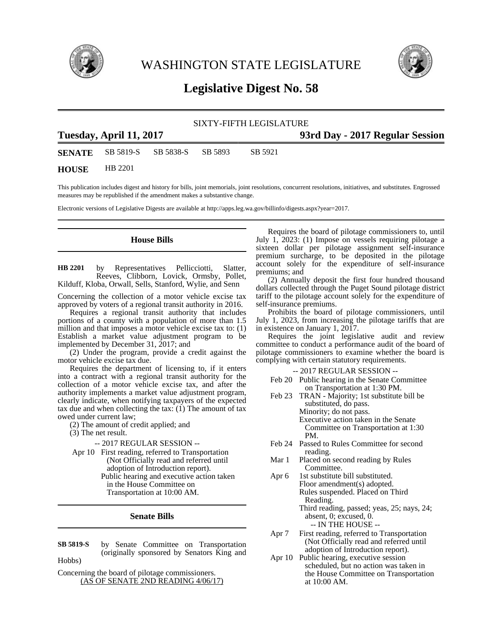

WASHINGTON STATE LEGISLATURE



## **Legislative Digest No. 58**

## SIXTY-FIFTH LEGISLATURE **Tuesday, April 11, 2017 93rd Day - 2017 Regular Session SENATE** SB 5819-S SB 5838-S SB 5893 SB 5921 **HOUSE** HB 2201

This publication includes digest and history for bills, joint memorials, joint resolutions, concurrent resolutions, initiatives, and substitutes. Engrossed measures may be republished if the amendment makes a substantive change.

Electronic versions of Legislative Digests are available at http://apps.leg.wa.gov/billinfo/digests.aspx?year=2017.

## **House Bills**

by Representatives Pellicciotti, Slatter, Reeves, Clibborn, Lovick, Ormsby, Pollet, Kilduff, Kloba, Orwall, Sells, Stanford, Wylie, and Senn **HB 2201**

Concerning the collection of a motor vehicle excise tax approved by voters of a regional transit authority in 2016.

Requires a regional transit authority that includes portions of a county with a population of more than 1.5 million and that imposes a motor vehicle excise tax to: (1) Establish a market value adjustment program to be implemented by December 31, 2017; and

(2) Under the program, provide a credit against the motor vehicle excise tax due.

Requires the department of licensing to, if it enters into a contract with a regional transit authority for the collection of a motor vehicle excise tax, and after the authority implements a market value adjustment program, clearly indicate, when notifying taxpayers of the expected tax due and when collecting the tax:  $(1)$  The amount of tax owed under current law;

(2) The amount of credit applied; and

(3) The net result.

-- 2017 REGULAR SESSION --

Apr 10 First reading, referred to Transportation (Not Officially read and referred until adoption of Introduction report). Public hearing and executive action taken in the House Committee on Transportation at 10:00 AM.

**Senate Bills**

by Senate Committee on Transportation (originally sponsored by Senators King and Hobbs) **SB 5819-S**

Concerning the board of pilotage commissioners. (AS OF SENATE 2ND READING 4/06/17)

Requires the board of pilotage commissioners to, until July 1, 2023: (1) Impose on vessels requiring pilotage a sixteen dollar per pilotage assignment self-insurance premium surcharge, to be deposited in the pilotage account solely for the expenditure of self-insurance premiums; and

(2) Annually deposit the first four hundred thousand dollars collected through the Puget Sound pilotage district tariff to the pilotage account solely for the expenditure of self-insurance premiums.

Prohibits the board of pilotage commissioners, until July 1, 2023, from increasing the pilotage tariffs that are in existence on January 1, 2017.

Requires the joint legislative audit and review committee to conduct a performance audit of the board of pilotage commissioners to examine whether the board is complying with certain statutory requirements.

-- 2017 REGULAR SESSION --

- Feb 20 Public hearing in the Senate Committee on Transportation at 1:30 PM.
- Feb 23 TRAN Majority; 1st substitute bill be substituted, do pass. Minority; do not pass. Executive action taken in the Senate Committee on Transportation at 1:30 PM.
- Feb 24 Passed to Rules Committee for second reading.
- Mar 1 Placed on second reading by Rules Committee.
- Apr 6 1st substitute bill substituted. Floor amendment(s) adopted. Rules suspended. Placed on Third Reading. Third reading, passed; yeas, 25; nays, 24; absent, 0; excused, 0. -- IN THE HOUSE --
- Apr 7 First reading, referred to Transportation (Not Officially read and referred until adoption of Introduction report).
- Apr 10 Public hearing, executive session scheduled, but no action was taken in the House Committee on Transportation at 10:00 AM.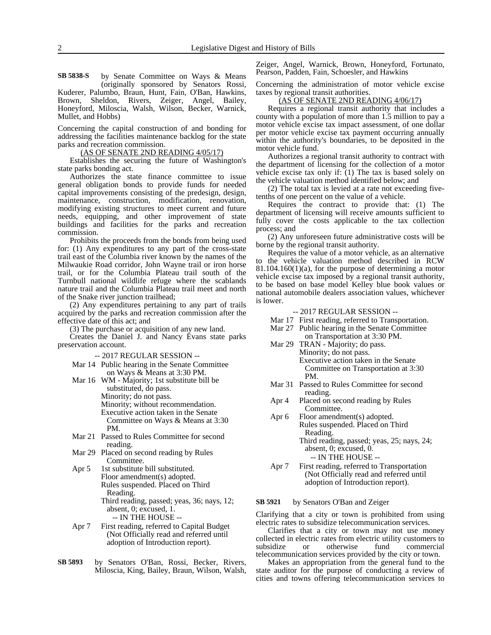by Senate Committee on Ways & Means (originally sponsored by Senators Rossi, Kuderer, Palumbo, Braun, Hunt, Fain, O'Ban, Hawkins, Brown, Sheldon, Rivers, Zeiger, Angel, Bailey, Honeyford, Miloscia, Walsh, Wilson, Becker, Warnick, Mullet, and Hobbs) **SB 5838-S**

Concerning the capital construction of and bonding for addressing the facilities maintenance backlog for the state parks and recreation commission.

(AS OF SENATE 2ND READING 4/05/17)

Establishes the securing the future of Washington's state parks bonding act.

Authorizes the state finance committee to issue general obligation bonds to provide funds for needed capital improvements consisting of the predesign, design, maintenance, construction, modification, renovation, modifying existing structures to meet current and future needs, equipping, and other improvement of state buildings and facilities for the parks and recreation commission.

Prohibits the proceeds from the bonds from being used for: (1) Any expenditures to any part of the cross-state trail east of the Columbia river known by the names of the Milwaukie Road corridor, John Wayne trail or iron horse trail, or for the Columbia Plateau trail south of the Turnbull national wildlife refuge where the scablands nature trail and the Columbia Plateau trail meet and north of the Snake river junction trailhead;

(2) Any expenditures pertaining to any part of trails acquired by the parks and recreation commission after the effective date of this act; and

(3) The purchase or acquisition of any new land.

Creates the Daniel J. and Nancy Evans state parks preservation account.

- -- 2017 REGULAR SESSION --
- Mar 14 Public hearing in the Senate Committee on Ways & Means at 3:30 PM.
- Mar 16 WM Majority; 1st substitute bill be substituted, do pass. Minority; do not pass. Minority; without recommendation. Executive action taken in the Senate Committee on Ways & Means at 3:30 PM.
- Mar 21 Passed to Rules Committee for second reading.
- Mar 29 Placed on second reading by Rules Committee.
- Apr 5 1st substitute bill substituted. Floor amendment(s) adopted. Rules suspended. Placed on Third Reading. Third reading, passed; yeas, 36; nays, 12; absent, 0; excused, 1. -- IN THE HOUSE --
- Apr 7 First reading, referred to Capital Budget (Not Officially read and referred until adoption of Introduction report).
- by Senators O'Ban, Rossi, Becker, Rivers, Miloscia, King, Bailey, Braun, Wilson, Walsh, **SB 5893**

Zeiger, Angel, Warnick, Brown, Honeyford, Fortunato, Pearson, Padden, Fain, Schoesler, and Hawkins

Concerning the administration of motor vehicle excise taxes by regional transit authorities.

(AS OF SENATE 2ND READING 4/06/17)

Requires a regional transit authority that includes a county with a population of more than 1.5 million to pay a motor vehicle excise tax impact assessment, of one dollar per motor vehicle excise tax payment occurring annually within the authority's boundaries, to be deposited in the motor vehicle fund.

Authorizes a regional transit authority to contract with the department of licensing for the collection of a motor vehicle excise tax only if: (1) The tax is based solely on the vehicle valuation method identified below; and

(2) The total tax is levied at a rate not exceeding fivetenths of one percent on the value of a vehicle.

Requires the contract to provide that: (1) The department of licensing will receive amounts sufficient to fully cover the costs applicable to the tax collection process; and

(2) Any unforeseen future administrative costs will be borne by the regional transit authority.

Requires the value of a motor vehicle, as an alternative to the vehicle valuation method described in RCW  $81.104.160(1)(a)$ , for the purpose of determining a motor vehicle excise tax imposed by a regional transit authority, to be based on base model Kelley blue book values or national automobile dealers association values, whichever is lower.

## -- 2017 REGULAR SESSION --

- Mar 17 First reading, referred to Transportation.
- Mar 27 Public hearing in the Senate Committee
- on Transportation at 3:30 PM. Mar 29 TRAN - Majority; do pass.
	- Minority; do not pass. Executive action taken in the Senate Committee on Transportation at 3:30 PM.
- Mar 31 Passed to Rules Committee for second reading.
- Apr 4 Placed on second reading by Rules Committee.
- Apr 6 Floor amendment(s) adopted. Rules suspended. Placed on Third Reading.

Third reading, passed; yeas, 25; nays, 24; absent, 0; excused, 0. -- IN THE HOUSE --

Apr 7 First reading, referred to Transportation (Not Officially read and referred until adoption of Introduction report).

by Senators O'Ban and Zeiger **SB 5921**

Clarifying that a city or town is prohibited from using electric rates to subsidize telecommunication services.

Clarifies that a city or town may not use money collected in electric rates from electric utility customers to<br>subsidize or otherwise fund commercial or otherwise fund commercial telecommunication services provided by the city or town.

Makes an appropriation from the general fund to the state auditor for the purpose of conducting a review of cities and towns offering telecommunication services to